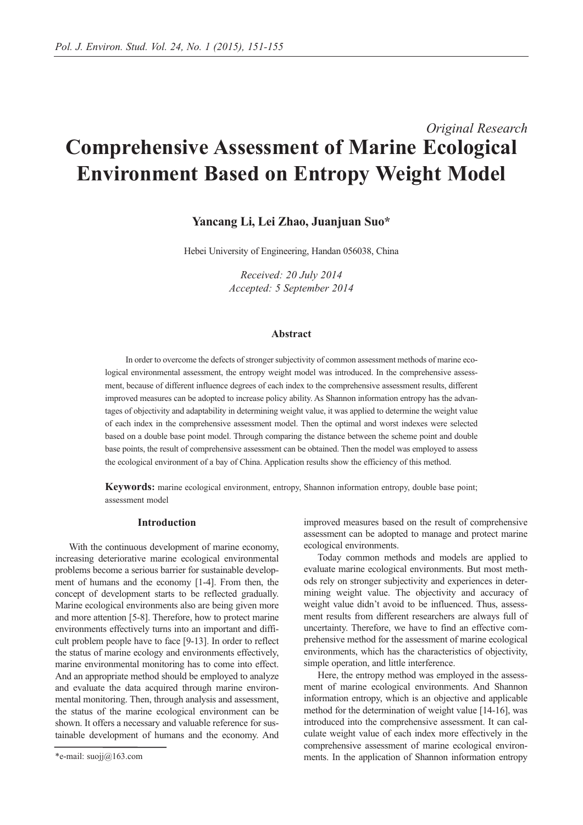# *Original Research* **Comprehensive Assessment of Marine Ecological Environment Based on Entropy Weight Model**

# **Yancang Li, Lei Zhao, Juanjuan Suo\***

Hebei University of Engineering, Handan 056038, China

*Received: 20 July 2014 Accepted: 5 September 2014*

## **Abstract**

In order to overcome the defects of stronger subjectivity of common assessment methods of marine ecological environmental assessment, the entropy weight model was introduced. In the comprehensive assessment, because of different influence degrees of each index to the comprehensive assessment results, different improved measures can be adopted to increase policy ability. As Shannon information entropy has the advantages of objectivity and adaptability in determining weight value, it was applied to determine the weight value of each index in the comprehensive assessment model. Then the optimal and worst indexes were selected based on a double base point model. Through comparing the distance between the scheme point and double base points, the result of comprehensive assessment can be obtained. Then the model was employed to assess the ecological environment of a bay of China. Application results show the efficiency of this method.

**Keywords:** marine ecological environment, entropy, Shannon information entropy, double base point; assessment model

## **Introduction**

With the continuous development of marine economy, increasing deteriorative marine ecological environmental problems become a serious barrier for sustainable development of humans and the economy [1-4]. From then, the concept of development starts to be reflected gradually. Marine ecological environments also are being given more and more attention [5-8]. Therefore, how to protect marine environments effectively turns into an important and difficult problem people have to face [9-13]. In order to reflect the status of marine ecology and environments effectively, marine environmental monitoring has to come into effect. And an appropriate method should be employed to analyze and evaluate the data acquired through marine environmental monitoring. Then, through analysis and assessment, the status of the marine ecological environment can be shown. It offers a necessary and valuable reference for sustainable development of humans and the economy. And improved measures based on the result of comprehensive assessment can be adopted to manage and protect marine ecological environments.

Today common methods and models are applied to evaluate marine ecological environments. But most methods rely on stronger subjectivity and experiences in determining weight value. The objectivity and accuracy of weight value didn't avoid to be influenced. Thus, assessment results from different researchers are always full of uncertainty. Therefore, we have to find an effective comprehensive method for the assessment of marine ecological environments, which has the characteristics of objectivity, simple operation, and little interference.

Here, the entropy method was employed in the assessment of marine ecological environments. And Shannon information entropy, which is an objective and applicable method for the determination of weight value [14-16], was introduced into the comprehensive assessment. It can calculate weight value of each index more effectively in the comprehensive assessment of marine ecological environments. In the application of Shannon information entropy

<sup>\*</sup>e-mail: suojj@163.com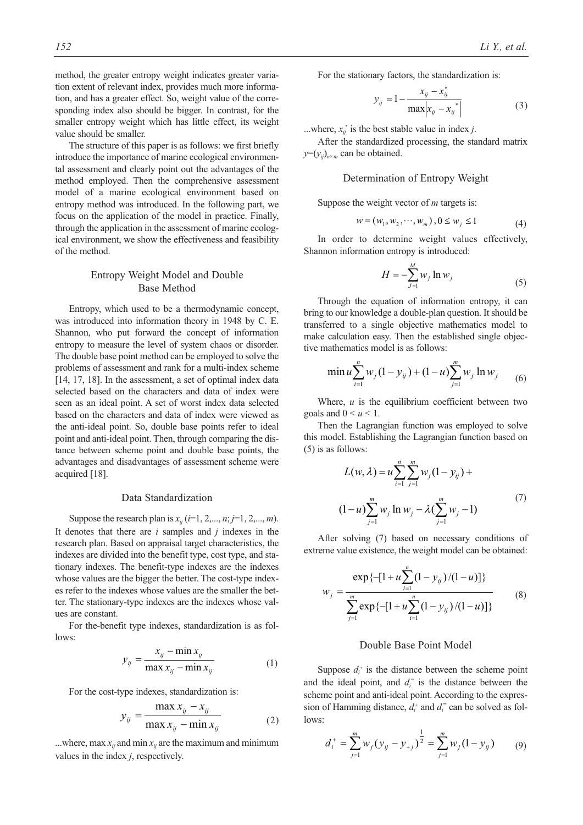method, the greater entropy weight indicates greater variation extent of relevant index, provides much more information, and has a greater effect. So, weight value of the corresponding index also should be bigger. In contrast, for the smaller entropy weight which has little effect, its weight value should be smaller.

The structure of this paper is as follows: we first briefly introduce the importance of marine ecological environmental assessment and clearly point out the advantages of the method employed. Then the comprehensive assessment model of a marine ecological environment based on entropy method was introduced. In the following part, we focus on the application of the model in practice. Finally, through the application in the assessment of marine ecological environment, we show the effectiveness and feasibility of the method.

## Entropy Weight Model and Double Base Method

Entropy, which used to be a thermodynamic concept, was introduced into information theory in 1948 by C. E. Shannon, who put forward the concept of information entropy to measure the level of system chaos or disorder. The double base point method can be employed to solve the problems of assessment and rank for a multi-index scheme [14, 17, 18]. In the assessment, a set of optimal index data selected based on the characters and data of index were seen as an ideal point. A set of worst index data selected based on the characters and data of index were viewed as the anti-ideal point. So, double base points refer to ideal point and anti-ideal point. Then, through comparing the distance between scheme point and double base points, the advantages and disadvantages of assessment scheme were acquired [18].

## Data Standardization

Suppose the research plan is  $x_{ij}$  (*i*=1, 2,..., *n*; *j*=1, 2,..., *m*). It denotes that there are *i* samples and *j* indexes in the research plan. Based on appraisal target characteristics, the indexes are divided into the benefit type, cost type, and stationary indexes. The benefit-type indexes are the indexes whose values are the bigger the better. The cost-type indexes refer to the indexes whose values are the smaller the better. The stationary-type indexes are the indexes whose values are constant.

For the-benefit type indexes, standardization is as follows:

$$
y_{ij} = \frac{x_{ij} - \min x_{ij}}{\max x_{ij} - \min x_{ij}} \tag{1}
$$

For the cost-type indexes, standardization is:

$$
y_{ij} = \frac{\max x_{ij} - x_{ij}}{\max x_{ij} - \min x_{ij}}
$$
 (2)

...where, max  $x_{ij}$  and min  $x_{ij}$  are the maximum and minimum values in the index *j*, respectively.

For the stationary factors, the standardization is:

$$
y_{ij} = 1 - \frac{x_{ij} - x_{ij}^*}{\max |x_{ij} - x_{ij}^*|}
$$
 (3)

...where,  $x_{ij}^*$  is the best stable value in index *j*.

After the standardized processing, the standard matrix  $y=(y_{ij})_{n\times m}$  can be obtained.

## Determination of Entropy Weight

Suppose the weight vector of *m* targets is:

$$
w = (w_1, w_2, \cdots, w_m), 0 \le w_j \le 1
$$
 (4)

In order to determine weight values effectively, Shannon information entropy is introduced:

$$
H = -\sum_{j=1}^{M} w_j \ln w_j \tag{5}
$$

Through the equation of information entropy, it can bring to our knowledge a double-plan question. It should be transferred to a single objective mathematics model to make calculation easy. Then the established single objective mathematics model is as follows:

$$
\min u \sum_{i=1}^{n} w_j (1 - y_{ij}) + (1 - u) \sum_{j=1}^{m} w_j \ln w_j \qquad (6)
$$

Where, *u* is the equilibrium coefficient between two goals and  $0 \le u \le 1$ .

Then the Lagrangian function was employed to solve this model. Establishing the Lagrangian function based on (5) is as follows:

$$
L(w, \lambda) = u \sum_{i=1}^{n} \sum_{j=1}^{m} w_j (1 - y_{ij}) +
$$
  

$$
(1 - u) \sum_{j=1}^{m} w_j \ln w_j - \lambda (\sum_{j=1}^{m} w_j - 1)
$$
 (7)

After solving (7) based on necessary conditions of extreme value existence, the weight model can be obtained:

$$
w_{j} = \frac{\exp\{-[1+u\sum_{i=1}^{n}(1-y_{ij})/(1-u)]\}}{\sum_{j=1}^{m}\exp\{-[1+u\sum_{i=1}^{n}(1-y_{ij})/(1-u)]\}}
$$
(8)

#### Double Base Point Model

Suppose  $d_i^+$  is the distance between the scheme point and the ideal point, and  $d_i$ <sup>-</sup> is the distance between the scheme point and anti-ideal point. According to the expression of Hamming distance,  $d_i^+$  and  $d_i^-$  can be solved as follows:

$$
d_i^+ = \sum_{j=1}^m w_j (y_{ij} - y_{+j})^{\frac{1}{2}} = \sum_{j=1}^m w_j (1 - y_{ij})
$$
 (9)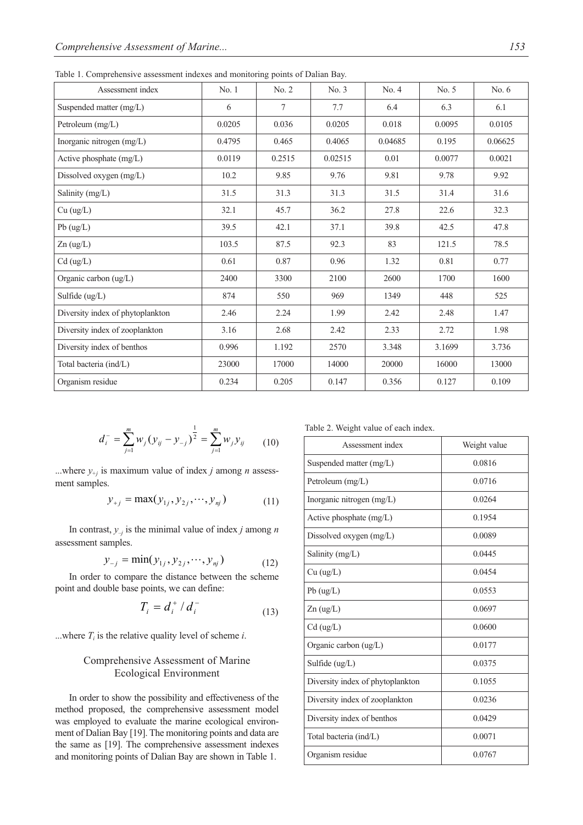Table 1. Comprehensive assessment indexes and monitoring points of Dalian Bay.

| Assessment index                 | No.1   | No. 2  | No. 3   | No. 4   | No. 5  | No. $6$ |
|----------------------------------|--------|--------|---------|---------|--------|---------|
| Suspended matter (mg/L)          | 6      | 7      | 7.7     | 6.4     | 6.3    | 6.1     |
| Petroleum (mg/L)                 | 0.0205 | 0.036  | 0.0205  | 0.018   | 0.0095 | 0.0105  |
| Inorganic nitrogen (mg/L)        | 0.4795 | 0.465  | 0.4065  | 0.04685 | 0.195  | 0.06625 |
| Active phosphate (mg/L)          | 0.0119 | 0.2515 | 0.02515 | 0.01    | 0.0077 | 0.0021  |
| Dissolved oxygen (mg/L)          | 10.2   | 9.85   | 9.76    | 9.81    | 9.78   | 9.92    |
| Salinity (mg/L)                  | 31.5   | 31.3   | 31.3    | 31.5    | 31.4   | 31.6    |
| $Cu$ (ug/L)                      | 32.1   | 45.7   | 36.2    | 27.8    | 22.6   | 32.3    |
| Pb (ug/L)                        | 39.5   | 42.1   | 37.1    | 39.8    | 42.5   | 47.8    |
| $Zn$ (ug/L)                      | 103.5  | 87.5   | 92.3    | 83      | 121.5  | 78.5    |
| $Cd$ (ug/L)                      | 0.61   | 0.87   | 0.96    | 1.32    | 0.81   | 0.77    |
| Organic carbon (ug/L)            | 2400   | 3300   | 2100    | 2600    | 1700   | 1600    |
| Sulfide (ug/L)                   | 874    | 550    | 969     | 1349    | 448    | 525     |
| Diversity index of phytoplankton | 2.46   | 2.24   | 1.99    | 2.42    | 2.48   | 1.47    |
| Diversity index of zooplankton   | 3.16   | 2.68   | 2.42    | 2.33    | 2.72   | 1.98    |
| Diversity index of benthos       | 0.996  | 1.192  | 2570    | 3.348   | 3.1699 | 3.736   |
| Total bacteria (ind/L)           | 23000  | 17000  | 14000   | 20000   | 16000  | 13000   |
| Organism residue                 | 0.234  | 0.205  | 0.147   | 0.356   | 0.127  | 0.109   |

$$
d_i^- = \sum_{j=1}^m w_j (y_{ij} - y_{-j})^{\frac{1}{2}} = \sum_{j=1}^m w_j y_{ij} \qquad (10)
$$

...where  $y_{+j}$  is maximum value of index *j* among *n* assessment samples.

$$
y_{+j} = \max(y_{1j}, y_{2j}, \cdots, y_{nj})
$$
 (11)

In contrast,  $y_{-j}$  is the minimal value of index *j* among *n* assessment samples.

$$
y_{-j} = \min(y_{1j}, y_{2j}, \cdots, y_{nj})
$$
 (12)

In order to compare the distance between the scheme point and double base points, we can define:

$$
T_i = d_i^+ / d_i^- \tag{13}
$$

...where  $T_i$  is the relative quality level of scheme *i*.

# Comprehensive Assessment of Marine Ecological Environment

In order to show the possibility and effectiveness of the method proposed, the comprehensive assessment model was employed to evaluate the marine ecological environment of Dalian Bay [19]. The monitoring points and data are the same as [19]. The comprehensive assessment indexes and monitoring points of Dalian Bay are shown in Table 1.

Table 2. Weight value of each index.

| Assessment index                           | Weight value |
|--------------------------------------------|--------------|
| Suspended matter (mg/L)                    | 0.0816       |
| Petroleum (mg/L)                           | 0.0716       |
| Inorganic nitrogen $(mg/L)$                | 0.0264       |
| Active phosphate (mg/L)                    | 0.1954       |
| Dissolved oxygen $(mg/L)$                  | 0.0089       |
| Salinity (mg/L)                            | 0.0445       |
| Cu (ug/L)                                  | 0.0454       |
| $Pb$ (ug/L)                                | 0.0553       |
| $Zn$ (ug/L)                                | 0.0697       |
| $Cd$ (ug/L)                                | 0.0600       |
| Organic carbon $\left(\frac{ug}{L}\right)$ | 0.0177       |
| Sulfide $(ug/L)$                           | 0.0375       |
| Diversity index of phytoplankton           | 0.1055       |
| Diversity index of zooplankton             | 0.0236       |
| Diversity index of benthos                 | 0.0429       |
| Total bacteria (ind/L)                     | 0.0071       |
| Organism residue                           | 0.0767       |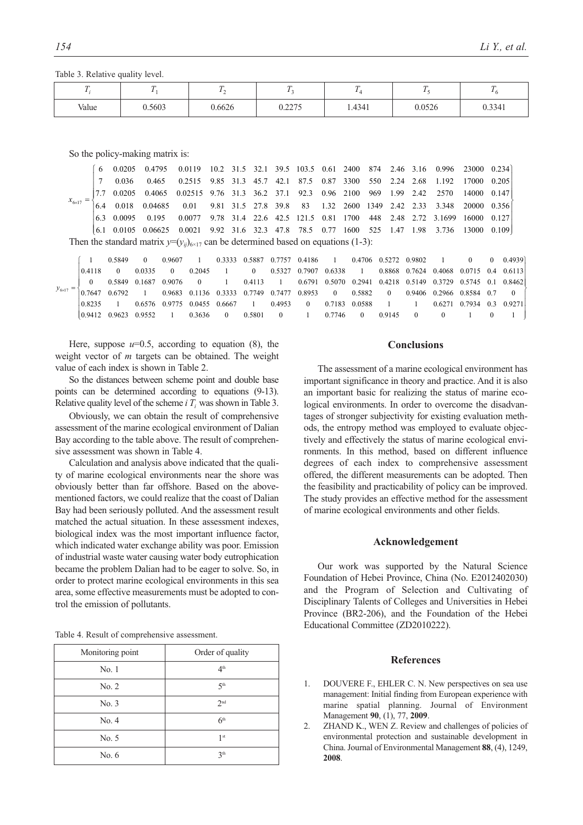Table 3. Relative quality level.

|       |        | $\overline{ }$ |                 | m      | $\mathbf{r}$ |        |
|-------|--------|----------------|-----------------|--------|--------------|--------|
| Value | 0.5603 | 0.6626         | 0.2275<br>0.221 | 1.4341 | 0.0526       | 0.3341 |

So the policy-making matrix is:

 $\int$ ° ° °°  $\overline{\phantom{a}}$  $\overline{\phantom{a}}$  $\left\{ \right.$ 0.234  $\overline{\mathcal{C}}$  $63$  $\Big\}$ °°  $\mathbf{I}$  $\mid$  $\overline{\phantom{a}}$  $x_{6\times 17} =$ 6.1 0.0105 0.06625 0.0021 9.92 31.6 32.3 47.8 78.5 0.77 1600 525 1.47 1.98 3.736 13000 0.109 6.3 0.0095 0.195 0.0077 9.78 31.4 22.6 42.5 121.5 0.81 1700 448 2.48 2.72 3.1699 16000 0.127 6.4 0.018 0.04685 0.01 9.81 31.5 27.8 39.8 83 1.32 2600 1349 2.42 2.33 3.348 20000 0.356 7.7 0.0205 0.4065 0.02515 9.76 31.3 36.2 37.1 92.3 0.96 2100 969 1.99 2.42 2570 14000 0.147 7 0.036 0.465 0.2515 9.85 31.3 45.7 42.1 87.5 0.87 3300 550 2.24 2.68 1.192 17000 0.205 6 0.0205 0.4795 0.0119 10.2 31.5 32.1 39.5 103.5 0.61 2400 874 2.46 3.16 0.996 23000 Then the standard matrix  $y=(y_{ij})_{(i\times 17)}$  can be determined based on equations (1-3):

|  |  | 1 0.5849 0 0.9607 1 0.3333 0.5887 0.7757 0.4186 1 0.4706 0.5272 0.9802 1 0 0 0.4939                                                                              |  |  |  |  |  |  |
|--|--|------------------------------------------------------------------------------------------------------------------------------------------------------------------|--|--|--|--|--|--|
|  |  | $\begin{bmatrix} 0.4118 & 0 & 0.0335 & 0 & 0.2045 & 1 & 0 & 0.5327 & 0.7907 & 0.6338 & 1 & 0.8868 & 0.7624 & 0.4068 & 0.0715 & 0.4 & 0.6113 \end{bmatrix}$       |  |  |  |  |  |  |
|  |  | $0.5849$ $0.1687$ $0.9076$ $0$ $1$ $0.4113$ $1$ $0.6791$ $0.5070$ $0.2941$ $0.4218$ $0.5149$ $0.3729$ $0.5745$ $0.1$ $0.8462$                                    |  |  |  |  |  |  |
|  |  | $y_{6\times17} = \begin{cases} 0.7647 & 0.6792 \\ 0.7647 & 0.6792 \end{cases}$ 1 0.9683 0.1136 0.3333 0.7749 0.7477 0.8953 0 0.5882 0 0.9406 0.2966 0.8584 0.7 0 |  |  |  |  |  |  |
|  |  | $\begin{array}{cccccccc} 0.8235 & 1 & 0.6576 & 0.9775 & 0.0455 & 0.6667 & 1 & 0.4953 & 0 & 0.7183 & 0.0588 & 1 & 1 & 0.6271 & 0.7934 & 0.3 & 0.9271 \end{array}$ |  |  |  |  |  |  |
|  |  |                                                                                                                                                                  |  |  |  |  |  |  |

Here, suppose  $u=0.5$ , according to equation  $(8)$ , the weight vector of *m* targets can be obtained. The weight value of each index is shown in Table 2.

So the distances between scheme point and double base points can be determined according to equations (9-13). Relative quality level of the scheme *i*  $T_i$  was shown in Table 3.

Obviously, we can obtain the result of comprehensive assessment of the marine ecological environment of Dalian Bay according to the table above. The result of comprehensive assessment was shown in Table 4.

Calculation and analysis above indicated that the quality of marine ecological environments near the shore was obviously better than far offshore. Based on the abovementioned factors, we could realize that the coast of Dalian Bay had been seriously polluted. And the assessment result matched the actual situation. In these assessment indexes, biological index was the most important influence factor, which indicated water exchange ability was poor. Emission of industrial waste water causing water body eutrophication became the problem Dalian had to be eager to solve. So, in order to protect marine ecological environments in this sea area, some effective measurements must be adopted to control the emission of pollutants.

|  |  |  |  | Table 4. Result of comprehensive assessment. |  |
|--|--|--|--|----------------------------------------------|--|
|--|--|--|--|----------------------------------------------|--|

| Monitoring point | Order of quality |
|------------------|------------------|
| No. 1            | 4 <sup>th</sup>  |
| No. 2            | 5 <sup>th</sup>  |
| No. 3            | 2 <sub>nd</sub>  |
| No. 4            | 6 <sup>th</sup>  |
| No. 5            | 1 <sup>st</sup>  |
| No. $6$          | 3 <sup>th</sup>  |

## **Conclusions**

The assessment of a marine ecological environment has important significance in theory and practice. And it is also an important basic for realizing the status of marine ecological environments. In order to overcome the disadvantages of stronger subjectivity for existing evaluation methods, the entropy method was employed to evaluate objectively and effectively the status of marine ecological environments. In this method, based on different influence degrees of each index to comprehensive assessment offered, the different measurements can be adopted. Then the feasibility and practicability of policy can be improved. The study provides an effective method for the assessment of marine ecological environments and other fields.

#### **Acknowledgement**

Our work was supported by the Natural Science Foundation of Hebei Province, China (No. E2012402030) and the Program of Selection and Cultivating of Disciplinary Talents of Colleges and Universities in Hebei Province (BR2-206), and the Foundation of the Hebei Educational Committee (ZD2010222).

#### **References**

- 1. DOUVERE F., EHLER C. N. New perspectives on sea use management: Initial finding from European experience with marine spatial planning. Journal of Environment Management **90**, (1), 77, **2009**.
- 2. ZHAND K., WEN Z. Review and challenges of policies of environmental protection and sustainable development in China. Journal of Environmental Management **88**, (4), 1249, **2008**.